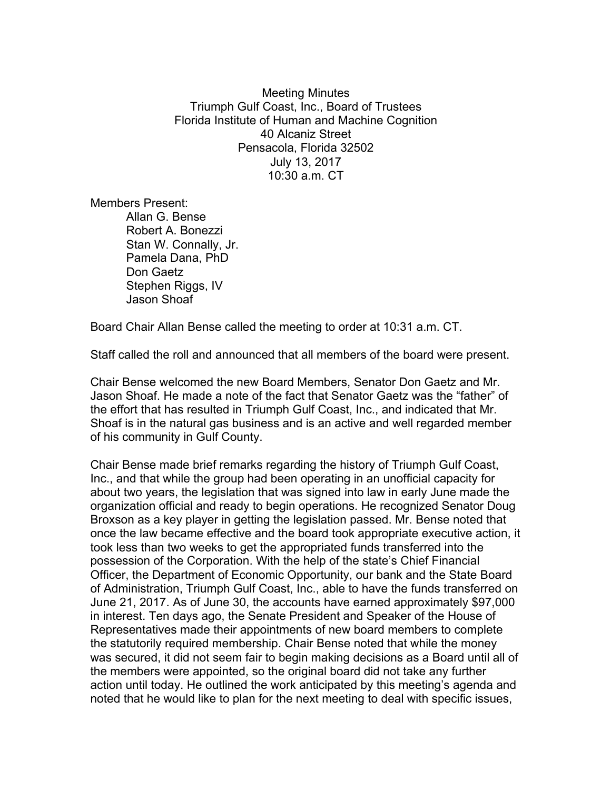Meeting Minutes Triumph Gulf Coast, Inc., Board of Trustees Florida Institute of Human and Machine Cognition 40 Alcaniz Street Pensacola, Florida 32502 July 13, 2017 10:30 a.m. CT

Members Present:

Allan G. Bense Robert A. Bonezzi Stan W. Connally, Jr. Pamela Dana, PhD Don Gaetz Stephen Riggs, IV Jason Shoaf

Board Chair Allan Bense called the meeting to order at 10:31 a.m. CT.

Staff called the roll and announced that all members of the board were present.

Chair Bense welcomed the new Board Members, Senator Don Gaetz and Mr. Jason Shoaf. He made a note of the fact that Senator Gaetz was the "father" of the effort that has resulted in Triumph Gulf Coast, Inc., and indicated that Mr. Shoaf is in the natural gas business and is an active and well regarded member of his community in Gulf County.

Chair Bense made brief remarks regarding the history of Triumph Gulf Coast, Inc., and that while the group had been operating in an unofficial capacity for about two years, the legislation that was signed into law in early June made the organization official and ready to begin operations. He recognized Senator Doug Broxson as a key player in getting the legislation passed. Mr. Bense noted that once the law became effective and the board took appropriate executive action, it took less than two weeks to get the appropriated funds transferred into the possession of the Corporation. With the help of the state's Chief Financial Officer, the Department of Economic Opportunity, our bank and the State Board of Administration, Triumph Gulf Coast, Inc., able to have the funds transferred on June 21, 2017. As of June 30, the accounts have earned approximately \$97,000 in interest. Ten days ago, the Senate President and Speaker of the House of Representatives made their appointments of new board members to complete the statutorily required membership. Chair Bense noted that while the money was secured, it did not seem fair to begin making decisions as a Board until all of the members were appointed, so the original board did not take any further action until today. He outlined the work anticipated by this meeting's agenda and noted that he would like to plan for the next meeting to deal with specific issues,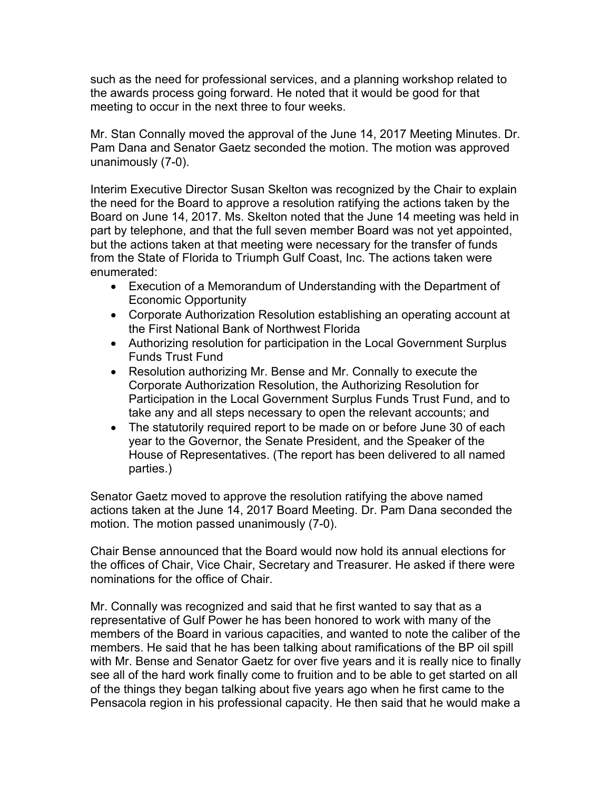such as the need for professional services, and a planning workshop related to the awards process going forward. He noted that it would be good for that meeting to occur in the next three to four weeks.

Mr. Stan Connally moved the approval of the June 14, 2017 Meeting Minutes. Dr. Pam Dana and Senator Gaetz seconded the motion. The motion was approved unanimously (7-0).

Interim Executive Director Susan Skelton was recognized by the Chair to explain the need for the Board to approve a resolution ratifying the actions taken by the Board on June 14, 2017. Ms. Skelton noted that the June 14 meeting was held in part by telephone, and that the full seven member Board was not yet appointed, but the actions taken at that meeting were necessary for the transfer of funds from the State of Florida to Triumph Gulf Coast, Inc. The actions taken were enumerated:

- Execution of a Memorandum of Understanding with the Department of Economic Opportunity
- Corporate Authorization Resolution establishing an operating account at the First National Bank of Northwest Florida
- Authorizing resolution for participation in the Local Government Surplus Funds Trust Fund
- Resolution authorizing Mr. Bense and Mr. Connally to execute the Corporate Authorization Resolution, the Authorizing Resolution for Participation in the Local Government Surplus Funds Trust Fund, and to take any and all steps necessary to open the relevant accounts; and
- The statutorily required report to be made on or before June 30 of each year to the Governor, the Senate President, and the Speaker of the House of Representatives. (The report has been delivered to all named parties.)

Senator Gaetz moved to approve the resolution ratifying the above named actions taken at the June 14, 2017 Board Meeting. Dr. Pam Dana seconded the motion. The motion passed unanimously (7-0).

Chair Bense announced that the Board would now hold its annual elections for the offices of Chair, Vice Chair, Secretary and Treasurer. He asked if there were nominations for the office of Chair.

Mr. Connally was recognized and said that he first wanted to say that as a representative of Gulf Power he has been honored to work with many of the members of the Board in various capacities, and wanted to note the caliber of the members. He said that he has been talking about ramifications of the BP oil spill with Mr. Bense and Senator Gaetz for over five years and it is really nice to finally see all of the hard work finally come to fruition and to be able to get started on all of the things they began talking about five years ago when he first came to the Pensacola region in his professional capacity. He then said that he would make a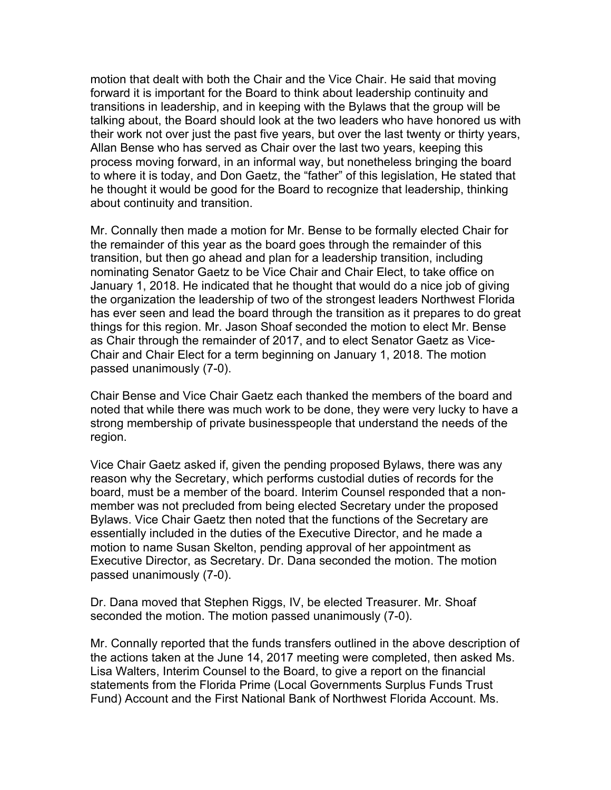motion that dealt with both the Chair and the Vice Chair. He said that moving forward it is important for the Board to think about leadership continuity and transitions in leadership, and in keeping with the Bylaws that the group will be talking about, the Board should look at the two leaders who have honored us with their work not over just the past five years, but over the last twenty or thirty years, Allan Bense who has served as Chair over the last two years, keeping this process moving forward, in an informal way, but nonetheless bringing the board to where it is today, and Don Gaetz, the "father" of this legislation, He stated that he thought it would be good for the Board to recognize that leadership, thinking about continuity and transition.

Mr. Connally then made a motion for Mr. Bense to be formally elected Chair for the remainder of this year as the board goes through the remainder of this transition, but then go ahead and plan for a leadership transition, including nominating Senator Gaetz to be Vice Chair and Chair Elect, to take office on January 1, 2018. He indicated that he thought that would do a nice job of giving the organization the leadership of two of the strongest leaders Northwest Florida has ever seen and lead the board through the transition as it prepares to do great things for this region. Mr. Jason Shoaf seconded the motion to elect Mr. Bense as Chair through the remainder of 2017, and to elect Senator Gaetz as Vice-Chair and Chair Elect for a term beginning on January 1, 2018. The motion passed unanimously (7-0).

Chair Bense and Vice Chair Gaetz each thanked the members of the board and noted that while there was much work to be done, they were very lucky to have a strong membership of private businesspeople that understand the needs of the region.

Vice Chair Gaetz asked if, given the pending proposed Bylaws, there was any reason why the Secretary, which performs custodial duties of records for the board, must be a member of the board. Interim Counsel responded that a nonmember was not precluded from being elected Secretary under the proposed Bylaws. Vice Chair Gaetz then noted that the functions of the Secretary are essentially included in the duties of the Executive Director, and he made a motion to name Susan Skelton, pending approval of her appointment as Executive Director, as Secretary. Dr. Dana seconded the motion. The motion passed unanimously (7-0).

Dr. Dana moved that Stephen Riggs, IV, be elected Treasurer. Mr. Shoaf seconded the motion. The motion passed unanimously (7-0).

Mr. Connally reported that the funds transfers outlined in the above description of the actions taken at the June 14, 2017 meeting were completed, then asked Ms. Lisa Walters, Interim Counsel to the Board, to give a report on the financial statements from the Florida Prime (Local Governments Surplus Funds Trust Fund) Account and the First National Bank of Northwest Florida Account. Ms.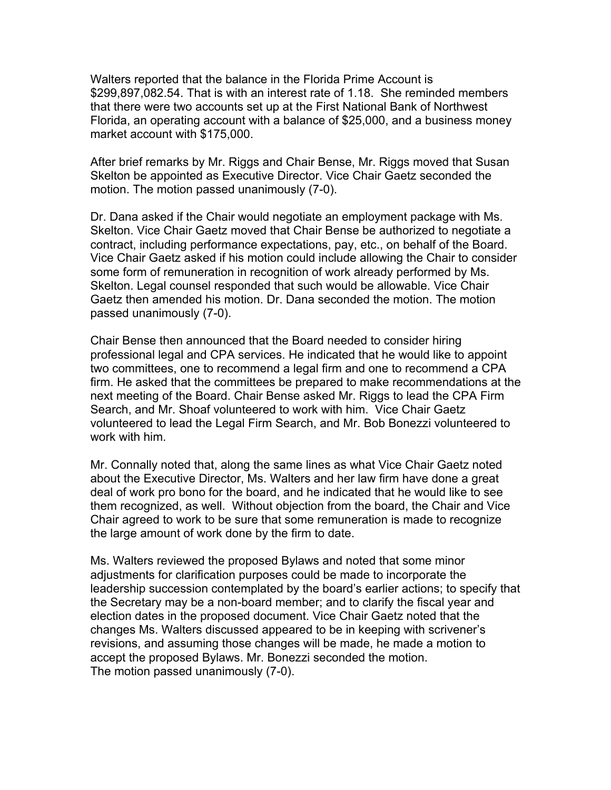Walters reported that the balance in the Florida Prime Account is \$299,897,082.54. That is with an interest rate of 1.18. She reminded members that there were two accounts set up at the First National Bank of Northwest Florida, an operating account with a balance of \$25,000, and a business money market account with \$175,000.

After brief remarks by Mr. Riggs and Chair Bense, Mr. Riggs moved that Susan Skelton be appointed as Executive Director. Vice Chair Gaetz seconded the motion. The motion passed unanimously (7-0).

Dr. Dana asked if the Chair would negotiate an employment package with Ms. Skelton. Vice Chair Gaetz moved that Chair Bense be authorized to negotiate a contract, including performance expectations, pay, etc., on behalf of the Board. Vice Chair Gaetz asked if his motion could include allowing the Chair to consider some form of remuneration in recognition of work already performed by Ms. Skelton. Legal counsel responded that such would be allowable. Vice Chair Gaetz then amended his motion. Dr. Dana seconded the motion. The motion passed unanimously (7-0).

Chair Bense then announced that the Board needed to consider hiring professional legal and CPA services. He indicated that he would like to appoint two committees, one to recommend a legal firm and one to recommend a CPA firm. He asked that the committees be prepared to make recommendations at the next meeting of the Board. Chair Bense asked Mr. Riggs to lead the CPA Firm Search, and Mr. Shoaf volunteered to work with him. Vice Chair Gaetz volunteered to lead the Legal Firm Search, and Mr. Bob Bonezzi volunteered to work with him.

Mr. Connally noted that, along the same lines as what Vice Chair Gaetz noted about the Executive Director, Ms. Walters and her law firm have done a great deal of work pro bono for the board, and he indicated that he would like to see them recognized, as well. Without objection from the board, the Chair and Vice Chair agreed to work to be sure that some remuneration is made to recognize the large amount of work done by the firm to date.

Ms. Walters reviewed the proposed Bylaws and noted that some minor adjustments for clarification purposes could be made to incorporate the leadership succession contemplated by the board's earlier actions; to specify that the Secretary may be a non-board member; and to clarify the fiscal year and election dates in the proposed document. Vice Chair Gaetz noted that the changes Ms. Walters discussed appeared to be in keeping with scrivener's revisions, and assuming those changes will be made, he made a motion to accept the proposed Bylaws. Mr. Bonezzi seconded the motion. The motion passed unanimously (7-0).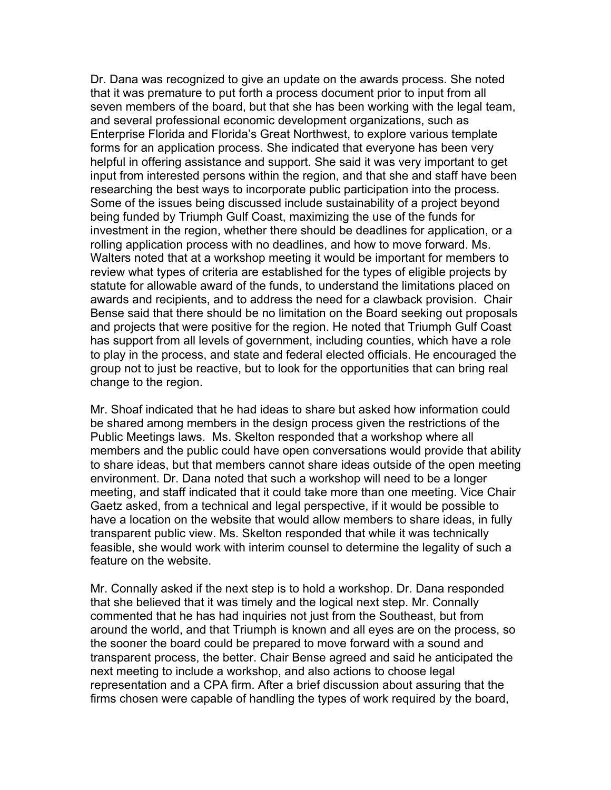Dr. Dana was recognized to give an update on the awards process. She noted that it was premature to put forth a process document prior to input from all seven members of the board, but that she has been working with the legal team, and several professional economic development organizations, such as Enterprise Florida and Florida's Great Northwest, to explore various template forms for an application process. She indicated that everyone has been very helpful in offering assistance and support. She said it was very important to get input from interested persons within the region, and that she and staff have been researching the best ways to incorporate public participation into the process. Some of the issues being discussed include sustainability of a project beyond being funded by Triumph Gulf Coast, maximizing the use of the funds for investment in the region, whether there should be deadlines for application, or a rolling application process with no deadlines, and how to move forward. Ms. Walters noted that at a workshop meeting it would be important for members to review what types of criteria are established for the types of eligible projects by statute for allowable award of the funds, to understand the limitations placed on awards and recipients, and to address the need for a clawback provision. Chair Bense said that there should be no limitation on the Board seeking out proposals and projects that were positive for the region. He noted that Triumph Gulf Coast has support from all levels of government, including counties, which have a role to play in the process, and state and federal elected officials. He encouraged the group not to just be reactive, but to look for the opportunities that can bring real change to the region.

Mr. Shoaf indicated that he had ideas to share but asked how information could be shared among members in the design process given the restrictions of the Public Meetings laws. Ms. Skelton responded that a workshop where all members and the public could have open conversations would provide that ability to share ideas, but that members cannot share ideas outside of the open meeting environment. Dr. Dana noted that such a workshop will need to be a longer meeting, and staff indicated that it could take more than one meeting. Vice Chair Gaetz asked, from a technical and legal perspective, if it would be possible to have a location on the website that would allow members to share ideas, in fully transparent public view. Ms. Skelton responded that while it was technically feasible, she would work with interim counsel to determine the legality of such a feature on the website.

Mr. Connally asked if the next step is to hold a workshop. Dr. Dana responded that she believed that it was timely and the logical next step. Mr. Connally commented that he has had inquiries not just from the Southeast, but from around the world, and that Triumph is known and all eyes are on the process, so the sooner the board could be prepared to move forward with a sound and transparent process, the better. Chair Bense agreed and said he anticipated the next meeting to include a workshop, and also actions to choose legal representation and a CPA firm. After a brief discussion about assuring that the firms chosen were capable of handling the types of work required by the board,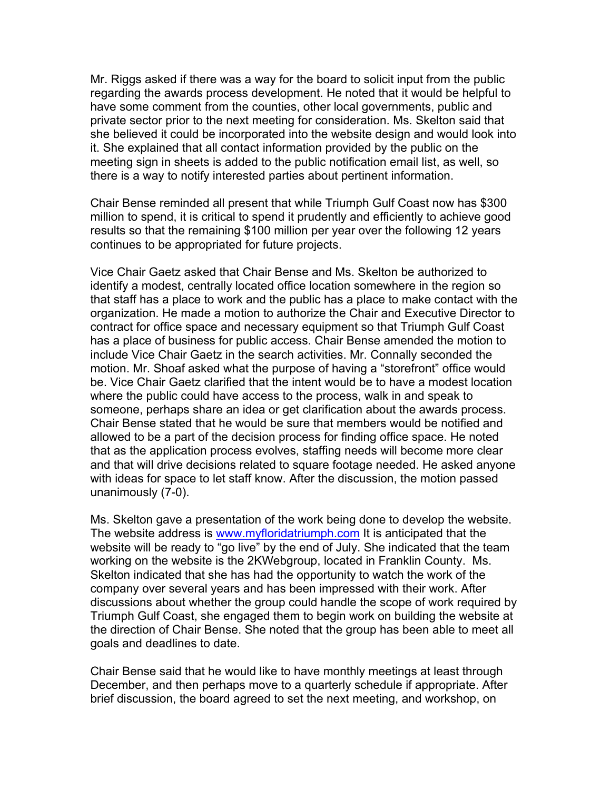Mr. Riggs asked if there was a way for the board to solicit input from the public regarding the awards process development. He noted that it would be helpful to have some comment from the counties, other local governments, public and private sector prior to the next meeting for consideration. Ms. Skelton said that she believed it could be incorporated into the website design and would look into it. She explained that all contact information provided by the public on the meeting sign in sheets is added to the public notification email list, as well, so there is a way to notify interested parties about pertinent information.

Chair Bense reminded all present that while Triumph Gulf Coast now has \$300 million to spend, it is critical to spend it prudently and efficiently to achieve good results so that the remaining \$100 million per year over the following 12 years continues to be appropriated for future projects.

Vice Chair Gaetz asked that Chair Bense and Ms. Skelton be authorized to identify a modest, centrally located office location somewhere in the region so that staff has a place to work and the public has a place to make contact with the organization. He made a motion to authorize the Chair and Executive Director to contract for office space and necessary equipment so that Triumph Gulf Coast has a place of business for public access. Chair Bense amended the motion to include Vice Chair Gaetz in the search activities. Mr. Connally seconded the motion. Mr. Shoaf asked what the purpose of having a "storefront" office would be. Vice Chair Gaetz clarified that the intent would be to have a modest location where the public could have access to the process, walk in and speak to someone, perhaps share an idea or get clarification about the awards process. Chair Bense stated that he would be sure that members would be notified and allowed to be a part of the decision process for finding office space. He noted that as the application process evolves, staffing needs will become more clear and that will drive decisions related to square footage needed. He asked anyone with ideas for space to let staff know. After the discussion, the motion passed unanimously (7-0).

Ms. Skelton gave a presentation of the work being done to develop the website. The website address is www.myfloridatriumph.com It is anticipated that the website will be ready to "go live" by the end of July. She indicated that the team working on the website is the 2KWebgroup, located in Franklin County. Ms. Skelton indicated that she has had the opportunity to watch the work of the company over several years and has been impressed with their work. After discussions about whether the group could handle the scope of work required by Triumph Gulf Coast, she engaged them to begin work on building the website at the direction of Chair Bense. She noted that the group has been able to meet all goals and deadlines to date.

Chair Bense said that he would like to have monthly meetings at least through December, and then perhaps move to a quarterly schedule if appropriate. After brief discussion, the board agreed to set the next meeting, and workshop, on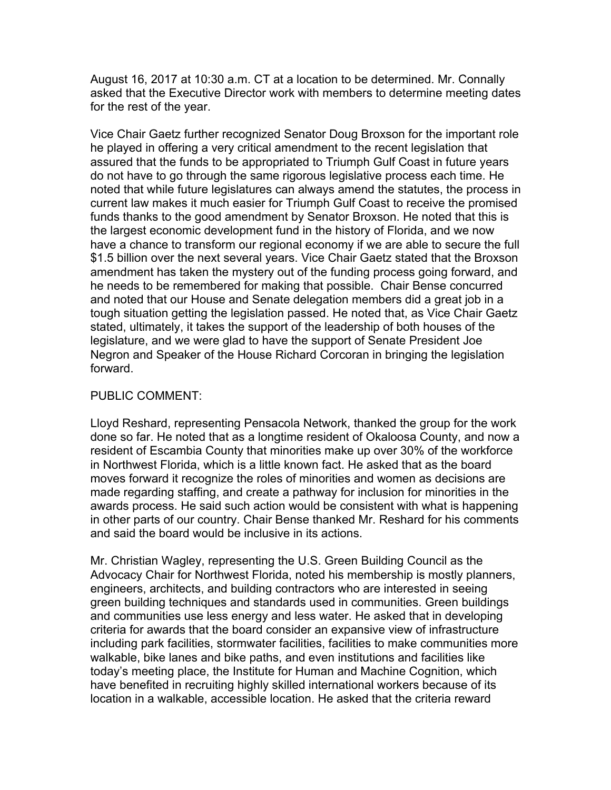August 16, 2017 at 10:30 a.m. CT at a location to be determined. Mr. Connally asked that the Executive Director work with members to determine meeting dates for the rest of the year.

Vice Chair Gaetz further recognized Senator Doug Broxson for the important role he played in offering a very critical amendment to the recent legislation that assured that the funds to be appropriated to Triumph Gulf Coast in future years do not have to go through the same rigorous legislative process each time. He noted that while future legislatures can always amend the statutes, the process in current law makes it much easier for Triumph Gulf Coast to receive the promised funds thanks to the good amendment by Senator Broxson. He noted that this is the largest economic development fund in the history of Florida, and we now have a chance to transform our regional economy if we are able to secure the full \$1.5 billion over the next several years. Vice Chair Gaetz stated that the Broxson amendment has taken the mystery out of the funding process going forward, and he needs to be remembered for making that possible. Chair Bense concurred and noted that our House and Senate delegation members did a great job in a tough situation getting the legislation passed. He noted that, as Vice Chair Gaetz stated, ultimately, it takes the support of the leadership of both houses of the legislature, and we were glad to have the support of Senate President Joe Negron and Speaker of the House Richard Corcoran in bringing the legislation forward.

## PUBLIC COMMENT:

Lloyd Reshard, representing Pensacola Network, thanked the group for the work done so far. He noted that as a longtime resident of Okaloosa County, and now a resident of Escambia County that minorities make up over 30% of the workforce in Northwest Florida, which is a little known fact. He asked that as the board moves forward it recognize the roles of minorities and women as decisions are made regarding staffing, and create a pathway for inclusion for minorities in the awards process. He said such action would be consistent with what is happening in other parts of our country. Chair Bense thanked Mr. Reshard for his comments and said the board would be inclusive in its actions.

Mr. Christian Wagley, representing the U.S. Green Building Council as the Advocacy Chair for Northwest Florida, noted his membership is mostly planners, engineers, architects, and building contractors who are interested in seeing green building techniques and standards used in communities. Green buildings and communities use less energy and less water. He asked that in developing criteria for awards that the board consider an expansive view of infrastructure including park facilities, stormwater facilities, facilities to make communities more walkable, bike lanes and bike paths, and even institutions and facilities like today's meeting place, the Institute for Human and Machine Cognition, which have benefited in recruiting highly skilled international workers because of its location in a walkable, accessible location. He asked that the criteria reward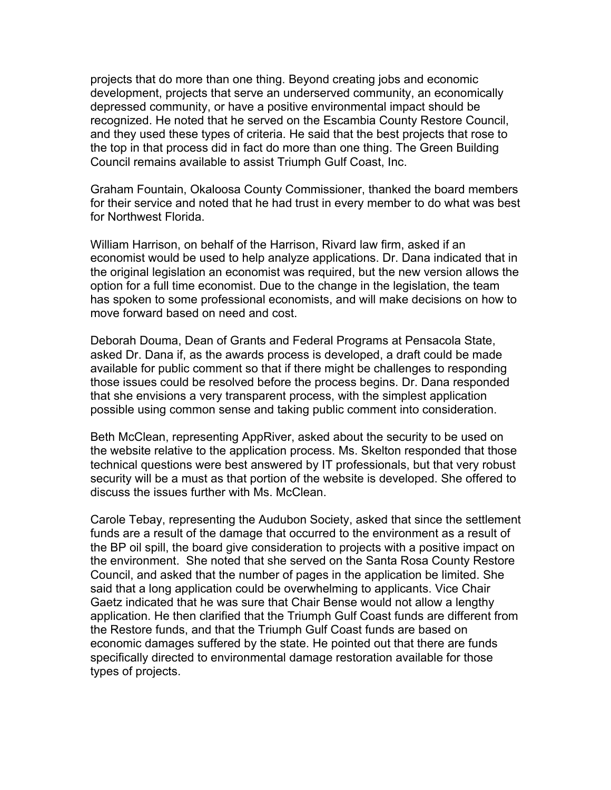projects that do more than one thing. Beyond creating jobs and economic development, projects that serve an underserved community, an economically depressed community, or have a positive environmental impact should be recognized. He noted that he served on the Escambia County Restore Council, and they used these types of criteria. He said that the best projects that rose to the top in that process did in fact do more than one thing. The Green Building Council remains available to assist Triumph Gulf Coast, Inc.

Graham Fountain, Okaloosa County Commissioner, thanked the board members for their service and noted that he had trust in every member to do what was best for Northwest Florida.

William Harrison, on behalf of the Harrison, Rivard law firm, asked if an economist would be used to help analyze applications. Dr. Dana indicated that in the original legislation an economist was required, but the new version allows the option for a full time economist. Due to the change in the legislation, the team has spoken to some professional economists, and will make decisions on how to move forward based on need and cost.

Deborah Douma, Dean of Grants and Federal Programs at Pensacola State, asked Dr. Dana if, as the awards process is developed, a draft could be made available for public comment so that if there might be challenges to responding those issues could be resolved before the process begins. Dr. Dana responded that she envisions a very transparent process, with the simplest application possible using common sense and taking public comment into consideration.

Beth McClean, representing AppRiver, asked about the security to be used on the website relative to the application process. Ms. Skelton responded that those technical questions were best answered by IT professionals, but that very robust security will be a must as that portion of the website is developed. She offered to discuss the issues further with Ms. McClean.

Carole Tebay, representing the Audubon Society, asked that since the settlement funds are a result of the damage that occurred to the environment as a result of the BP oil spill, the board give consideration to projects with a positive impact on the environment. She noted that she served on the Santa Rosa County Restore Council, and asked that the number of pages in the application be limited. She said that a long application could be overwhelming to applicants. Vice Chair Gaetz indicated that he was sure that Chair Bense would not allow a lengthy application. He then clarified that the Triumph Gulf Coast funds are different from the Restore funds, and that the Triumph Gulf Coast funds are based on economic damages suffered by the state. He pointed out that there are funds specifically directed to environmental damage restoration available for those types of projects.